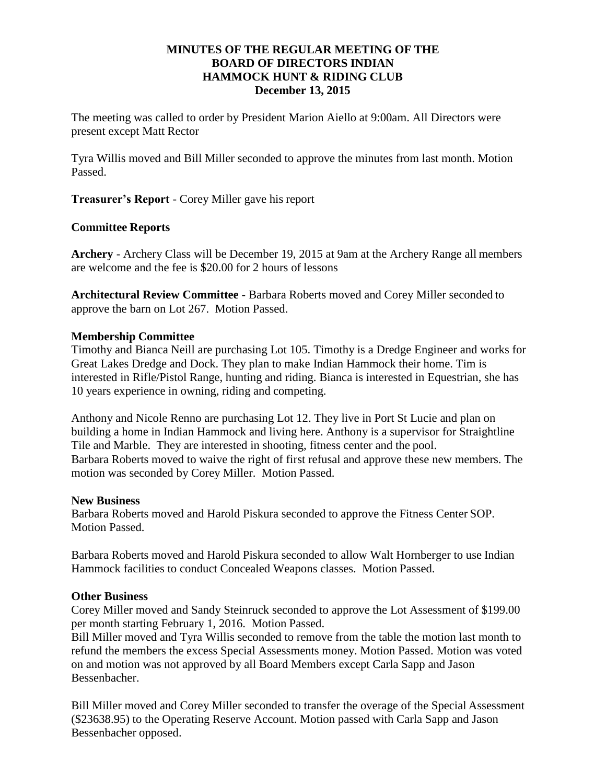## **MINUTES OF THE REGULAR MEETING OF THE BOARD OF DIRECTORS INDIAN HAMMOCK HUNT & RIDING CLUB December 13, 2015**

The meeting was called to order by President Marion Aiello at 9:00am. All Directors were present except Matt Rector

Tyra Willis moved and Bill Miller seconded to approve the minutes from last month. Motion Passed.

**Treasurer's Report** - Corey Miller gave his report

# **Committee Reports**

**Archery** - Archery Class will be December 19, 2015 at 9am at the Archery Range all members are welcome and the fee is \$20.00 for 2 hours of lessons

**Architectural Review Committee** - Barbara Roberts moved and Corey Miller seconded to approve the barn on Lot 267. Motion Passed.

#### **Membership Committee**

Timothy and Bianca Neill are purchasing Lot 105. Timothy is a Dredge Engineer and works for Great Lakes Dredge and Dock. They plan to make Indian Hammock their home. Tim is interested in Rifle/Pistol Range, hunting and riding. Bianca is interested in Equestrian, she has 10 years experience in owning, riding and competing.

Anthony and Nicole Renno are purchasing Lot 12. They live in Port St Lucie and plan on building a home in Indian Hammock and living here. Anthony is a supervisor for Straightline Tile and Marble. They are interested in shooting, fitness center and the pool. Barbara Roberts moved to waive the right of first refusal and approve these new members. The motion was seconded by Corey Miller. Motion Passed.

#### **New Business**

Barbara Roberts moved and Harold Piskura seconded to approve the Fitness Center SOP. Motion Passed.

Barbara Roberts moved and Harold Piskura seconded to allow Walt Hornberger to use Indian Hammock facilities to conduct Concealed Weapons classes. Motion Passed.

# **Other Business**

Corey Miller moved and Sandy Steinruck seconded to approve the Lot Assessment of \$199.00 per month starting February 1, 2016. Motion Passed.

Bill Miller moved and Tyra Willis seconded to remove from the table the motion last month to refund the members the excess Special Assessments money. Motion Passed. Motion was voted on and motion was not approved by all Board Members except Carla Sapp and Jason Bessenbacher.

Bill Miller moved and Corey Miller seconded to transfer the overage of the Special Assessment (\$23638.95) to the Operating Reserve Account. Motion passed with Carla Sapp and Jason Bessenbacher opposed.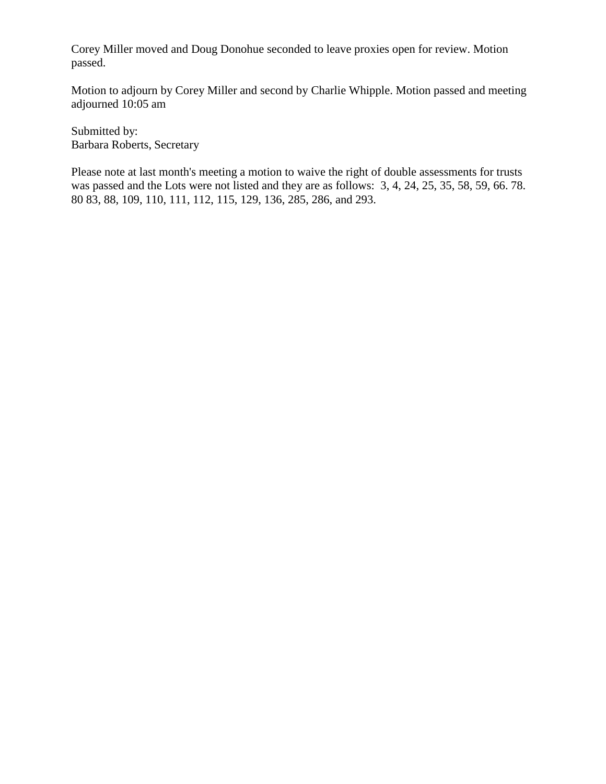Corey Miller moved and Doug Donohue seconded to leave proxies open for review. Motion passed.

Motion to adjourn by Corey Miller and second by Charlie Whipple. Motion passed and meeting adjourned 10:05 am

Submitted by: Barbara Roberts, Secretary

Please note at last month's meeting a motion to waive the right of double assessments for trusts was passed and the Lots were not listed and they are as follows: 3, 4, 24, 25, 35, 58, 59, 66. 78. 80 83, 88, 109, 110, 111, 112, 115, 129, 136, 285, 286, and 293.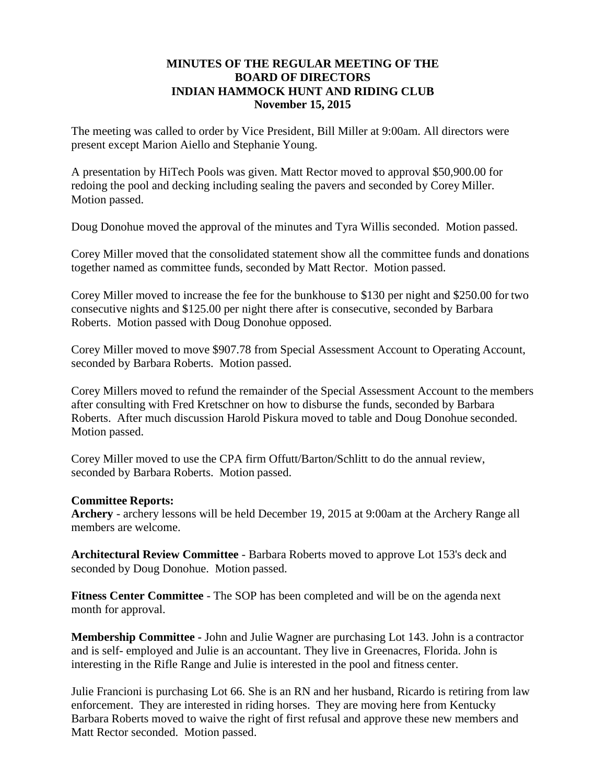## **MINUTES OF THE REGULAR MEETING OF THE BOARD OF DIRECTORS INDIAN HAMMOCK HUNT AND RIDING CLUB November 15, 2015**

The meeting was called to order by Vice President, Bill Miller at 9:00am. All directors were present except Marion Aiello and Stephanie Young.

A presentation by HiTech Pools was given. Matt Rector moved to approval \$50,900.00 for redoing the pool and decking including sealing the pavers and seconded by Corey Miller. Motion passed.

Doug Donohue moved the approval of the minutes and Tyra Willis seconded. Motion passed.

Corey Miller moved that the consolidated statement show all the committee funds and donations together named as committee funds, seconded by Matt Rector. Motion passed.

Corey Miller moved to increase the fee for the bunkhouse to \$130 per night and \$250.00 for two consecutive nights and \$125.00 per night there after is consecutive, seconded by Barbara Roberts. Motion passed with Doug Donohue opposed.

Corey Miller moved to move \$907.78 from Special Assessment Account to Operating Account, seconded by Barbara Roberts. Motion passed.

Corey Millers moved to refund the remainder of the Special Assessment Account to the members after consulting with Fred Kretschner on how to disburse the funds, seconded by Barbara Roberts. After much discussion Harold Piskura moved to table and Doug Donohue seconded. Motion passed.

Corey Miller moved to use the CPA firm Offutt/Barton/Schlitt to do the annual review, seconded by Barbara Roberts. Motion passed.

#### **Committee Reports:**

**Archery** - archery lessons will be held December 19, 2015 at 9:00am at the Archery Range all members are welcome.

**Architectural Review Committee** - Barbara Roberts moved to approve Lot 153's deck and seconded by Doug Donohue. Motion passed.

**Fitness Center Committee** - The SOP has been completed and will be on the agenda next month for approval.

**Membership Committee -** John and Julie Wagner are purchasing Lot 143. John is a contractor and is self- employed and Julie is an accountant. They live in Greenacres, Florida. John is interesting in the Rifle Range and Julie is interested in the pool and fitness center.

Julie Francioni is purchasing Lot 66. She is an RN and her husband, Ricardo is retiring from law enforcement. They are interested in riding horses. They are moving here from Kentucky Barbara Roberts moved to waive the right of first refusal and approve these new members and Matt Rector seconded. Motion passed.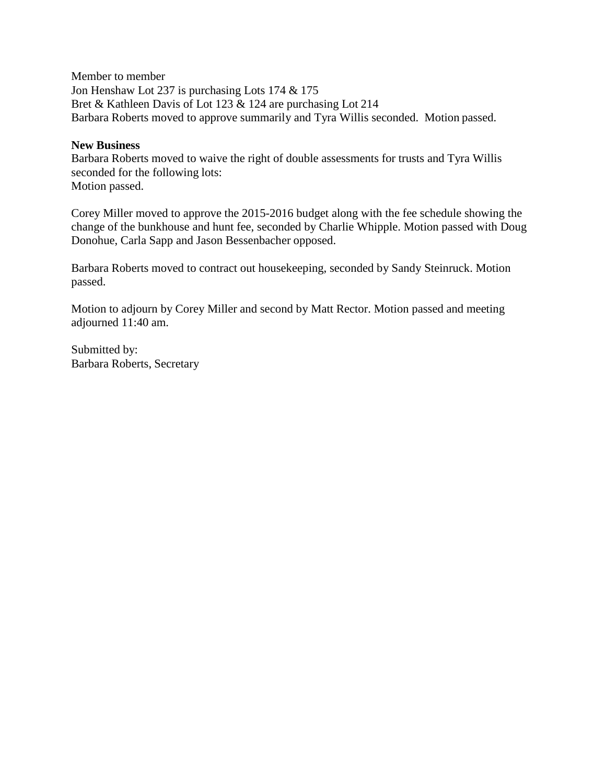Member to member Jon Henshaw Lot 237 is purchasing Lots 174 & 175 Bret & Kathleen Davis of Lot 123 & 124 are purchasing Lot 214 Barbara Roberts moved to approve summarily and Tyra Willis seconded. Motion passed.

#### **New Business**

Barbara Roberts moved to waive the right of double assessments for trusts and Tyra Willis seconded for the following lots: Motion passed.

Corey Miller moved to approve the 2015-2016 budget along with the fee schedule showing the change of the bunkhouse and hunt fee, seconded by Charlie Whipple. Motion passed with Doug Donohue, Carla Sapp and Jason Bessenbacher opposed.

Barbara Roberts moved to contract out housekeeping, seconded by Sandy Steinruck. Motion passed.

Motion to adjourn by Corey Miller and second by Matt Rector. Motion passed and meeting adjourned 11:40 am.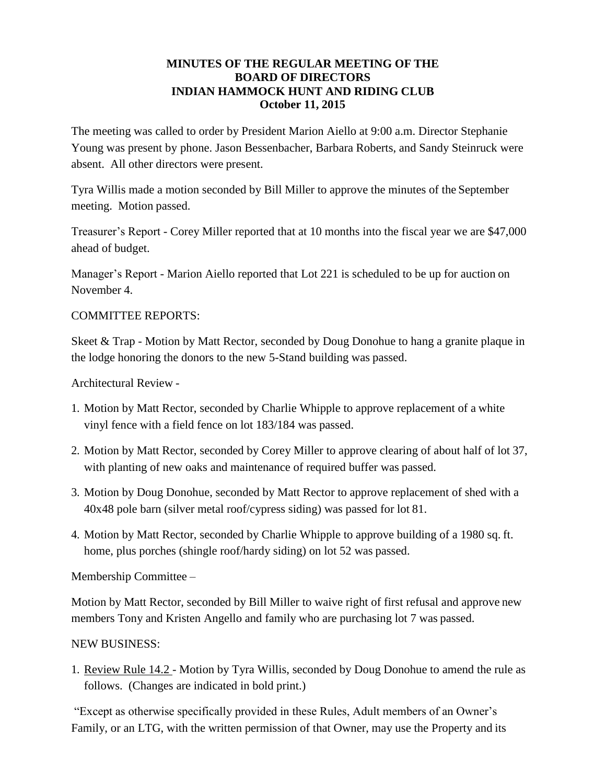## **MINUTES OF THE REGULAR MEETING OF THE BOARD OF DIRECTORS INDIAN HAMMOCK HUNT AND RIDING CLUB October 11, 2015**

The meeting was called to order by President Marion Aiello at 9:00 a.m. Director Stephanie Young was present by phone. Jason Bessenbacher, Barbara Roberts, and Sandy Steinruck were absent. All other directors were present.

Tyra Willis made a motion seconded by Bill Miller to approve the minutes of the September meeting. Motion passed.

Treasurer's Report - Corey Miller reported that at 10 months into the fiscal year we are \$47,000 ahead of budget.

Manager's Report - Marion Aiello reported that Lot 221 is scheduled to be up for auction on November 4.

# COMMITTEE REPORTS:

Skeet & Trap - Motion by Matt Rector, seconded by Doug Donohue to hang a granite plaque in the lodge honoring the donors to the new 5-Stand building was passed.

Architectural Review -

- 1. Motion by Matt Rector, seconded by Charlie Whipple to approve replacement of a white vinyl fence with a field fence on lot 183/184 was passed.
- 2. Motion by Matt Rector, seconded by Corey Miller to approve clearing of about half of lot 37, with planting of new oaks and maintenance of required buffer was passed.
- 3. Motion by Doug Donohue, seconded by Matt Rector to approve replacement of shed with a 40x48 pole barn (silver metal roof/cypress siding) was passed for lot 81.
- 4. Motion by Matt Rector, seconded by Charlie Whipple to approve building of a 1980 sq. ft. home, plus porches (shingle roof/hardy siding) on lot 52 was passed.

Membership Committee –

Motion by Matt Rector, seconded by Bill Miller to waive right of first refusal and approve new members Tony and Kristen Angello and family who are purchasing lot 7 was passed.

# NEW BUSINESS:

1. Review Rule 14.2 - Motion by Tyra Willis, seconded by Doug Donohue to amend the rule as follows. (Changes are indicated in bold print.)

"Except as otherwise specifically provided in these Rules, Adult members of an Owner's Family, or an LTG, with the written permission of that Owner, may use the Property and its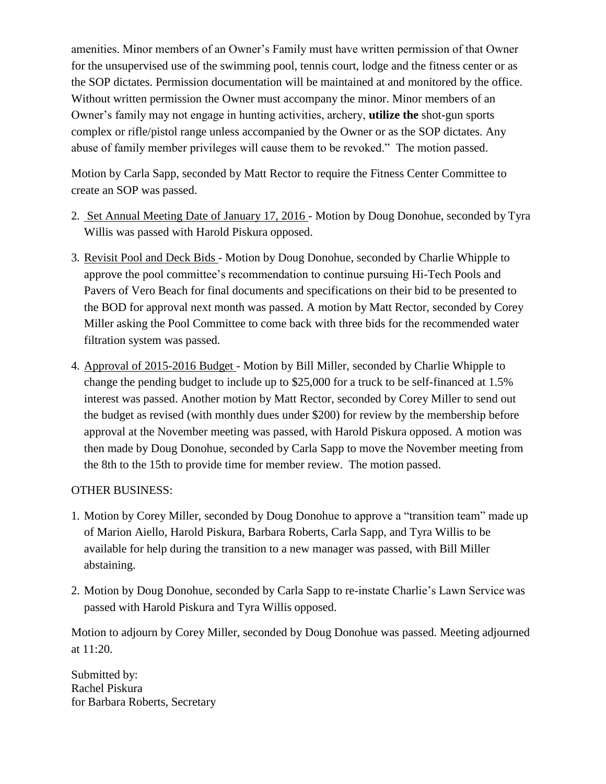amenities. Minor members of an Owner's Family must have written permission of that Owner for the unsupervised use of the swimming pool, tennis court, lodge and the fitness center or as the SOP dictates. Permission documentation will be maintained at and monitored by the office. Without written permission the Owner must accompany the minor. Minor members of an Owner's family may not engage in hunting activities, archery, **utilize the** shot-gun sports complex or rifle/pistol range unless accompanied by the Owner or as the SOP dictates. Any abuse of family member privileges will cause them to be revoked." The motion passed.

Motion by Carla Sapp, seconded by Matt Rector to require the Fitness Center Committee to create an SOP was passed.

- 2. Set Annual Meeting Date of January 17, 2016 Motion by Doug Donohue, seconded by Tyra Willis was passed with Harold Piskura opposed.
- 3. Revisit Pool and Deck Bids Motion by Doug Donohue, seconded by Charlie Whipple to approve the pool committee's recommendation to continue pursuing Hi-Tech Pools and Pavers of Vero Beach for final documents and specifications on their bid to be presented to the BOD for approval next month was passed. A motion by Matt Rector, seconded by Corey Miller asking the Pool Committee to come back with three bids for the recommended water filtration system was passed.
- 4. Approval of 2015-2016 Budget Motion by Bill Miller, seconded by Charlie Whipple to change the pending budget to include up to \$25,000 for a truck to be self-financed at 1.5% interest was passed. Another motion by Matt Rector, seconded by Corey Miller to send out the budget as revised (with monthly dues under \$200) for review by the membership before approval at the November meeting was passed, with Harold Piskura opposed. A motion was then made by Doug Donohue, seconded by Carla Sapp to move the November meeting from the 8th to the 15th to provide time for member review. The motion passed.

# OTHER BUSINESS:

- 1. Motion by Corey Miller, seconded by Doug Donohue to approve a "transition team" made up of Marion Aiello, Harold Piskura, Barbara Roberts, Carla Sapp, and Tyra Willis to be available for help during the transition to a new manager was passed, with Bill Miller abstaining.
- 2. Motion by Doug Donohue, seconded by Carla Sapp to re-instate Charlie's Lawn Service was passed with Harold Piskura and Tyra Willis opposed.

Motion to adjourn by Corey Miller, seconded by Doug Donohue was passed. Meeting adjourned at 11:20.

Submitted by: Rachel Piskura for Barbara Roberts, Secretary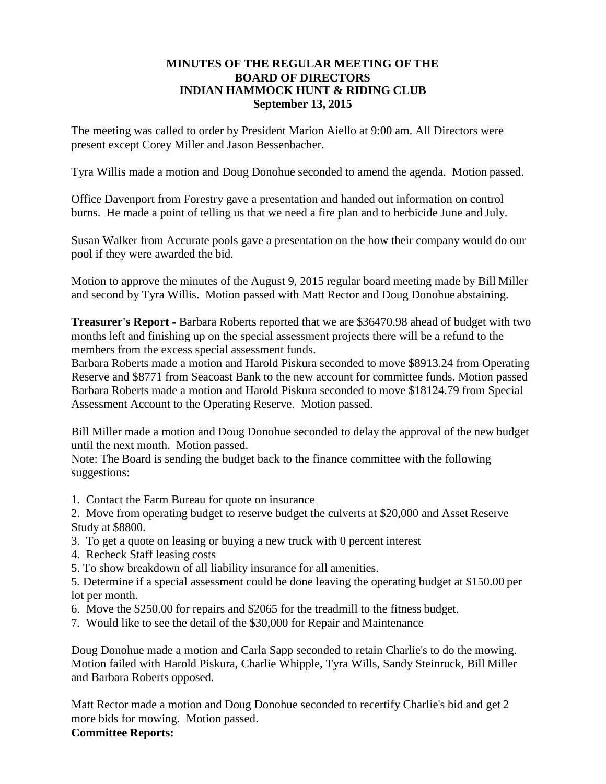## **MINUTES OF THE REGULAR MEETING OF THE BOARD OF DIRECTORS INDIAN HAMMOCK HUNT & RIDING CLUB September 13, 2015**

The meeting was called to order by President Marion Aiello at 9:00 am. All Directors were present except Corey Miller and Jason Bessenbacher.

Tyra Willis made a motion and Doug Donohue seconded to amend the agenda. Motion passed.

Office Davenport from Forestry gave a presentation and handed out information on control burns. He made a point of telling us that we need a fire plan and to herbicide June and July.

Susan Walker from Accurate pools gave a presentation on the how their company would do our pool if they were awarded the bid.

Motion to approve the minutes of the August 9, 2015 regular board meeting made by Bill Miller and second by Tyra Willis. Motion passed with Matt Rector and Doug Donohue abstaining.

**Treasurer's Report** - Barbara Roberts reported that we are \$36470.98 ahead of budget with two months left and finishing up on the special assessment projects there will be a refund to the members from the excess special assessment funds.

Barbara Roberts made a motion and Harold Piskura seconded to move \$8913.24 from Operating Reserve and \$8771 from Seacoast Bank to the new account for committee funds. Motion passed Barbara Roberts made a motion and Harold Piskura seconded to move \$18124.79 from Special Assessment Account to the Operating Reserve. Motion passed.

Bill Miller made a motion and Doug Donohue seconded to delay the approval of the new budget until the next month. Motion passed.

Note: The Board is sending the budget back to the finance committee with the following suggestions:

1. Contact the Farm Bureau for quote on insurance

2. Move from operating budget to reserve budget the culverts at \$20,000 and Asset Reserve Study at \$8800.

- 3. To get a quote on leasing or buying a new truck with 0 percent interest
- 4. Recheck Staff leasing costs
- 5. To show breakdown of all liability insurance for all amenities.

5. Determine if a special assessment could be done leaving the operating budget at \$150.00 per lot per month.

- 6. Move the \$250.00 for repairs and \$2065 for the treadmill to the fitness budget.
- 7. Would like to see the detail of the \$30,000 for Repair and Maintenance

Doug Donohue made a motion and Carla Sapp seconded to retain Charlie's to do the mowing. Motion failed with Harold Piskura, Charlie Whipple, Tyra Wills, Sandy Steinruck, Bill Miller and Barbara Roberts opposed.

Matt Rector made a motion and Doug Donohue seconded to recertify Charlie's bid and get 2 more bids for mowing. Motion passed.

# **Committee Reports:**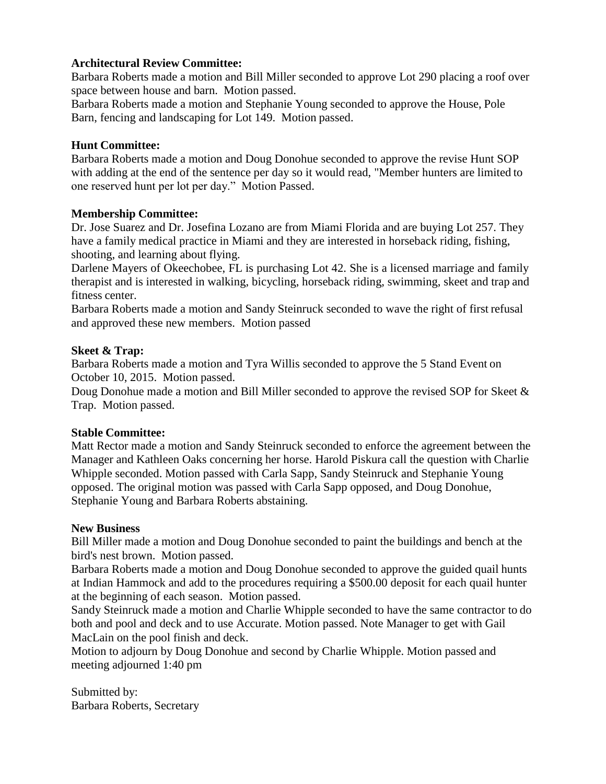# **Architectural Review Committee:**

Barbara Roberts made a motion and Bill Miller seconded to approve Lot 290 placing a roof over space between house and barn. Motion passed.

Barbara Roberts made a motion and Stephanie Young seconded to approve the House, Pole Barn, fencing and landscaping for Lot 149. Motion passed.

# **Hunt Committee:**

Barbara Roberts made a motion and Doug Donohue seconded to approve the revise Hunt SOP with adding at the end of the sentence per day so it would read, "Member hunters are limited to one reserved hunt per lot per day." Motion Passed.

# **Membership Committee:**

Dr. Jose Suarez and Dr. Josefina Lozano are from Miami Florida and are buying Lot 257. They have a family medical practice in Miami and they are interested in horseback riding, fishing, shooting, and learning about flying.

Darlene Mayers of Okeechobee, FL is purchasing Lot 42. She is a licensed marriage and family therapist and is interested in walking, bicycling, horseback riding, swimming, skeet and trap and fitness center.

Barbara Roberts made a motion and Sandy Steinruck seconded to wave the right of first refusal and approved these new members. Motion passed

# **Skeet & Trap:**

Barbara Roberts made a motion and Tyra Willis seconded to approve the 5 Stand Event on October 10, 2015. Motion passed.

Doug Donohue made a motion and Bill Miller seconded to approve the revised SOP for Skeet & Trap. Motion passed.

# **Stable Committee:**

Matt Rector made a motion and Sandy Steinruck seconded to enforce the agreement between the Manager and Kathleen Oaks concerning her horse. Harold Piskura call the question with Charlie Whipple seconded. Motion passed with Carla Sapp, Sandy Steinruck and Stephanie Young opposed. The original motion was passed with Carla Sapp opposed, and Doug Donohue, Stephanie Young and Barbara Roberts abstaining.

# **New Business**

Bill Miller made a motion and Doug Donohue seconded to paint the buildings and bench at the bird's nest brown. Motion passed.

Barbara Roberts made a motion and Doug Donohue seconded to approve the guided quail hunts at Indian Hammock and add to the procedures requiring a \$500.00 deposit for each quail hunter at the beginning of each season. Motion passed.

Sandy Steinruck made a motion and Charlie Whipple seconded to have the same contractor to do both and pool and deck and to use Accurate. Motion passed. Note Manager to get with Gail MacLain on the pool finish and deck.

Motion to adjourn by Doug Donohue and second by Charlie Whipple. Motion passed and meeting adjourned 1:40 pm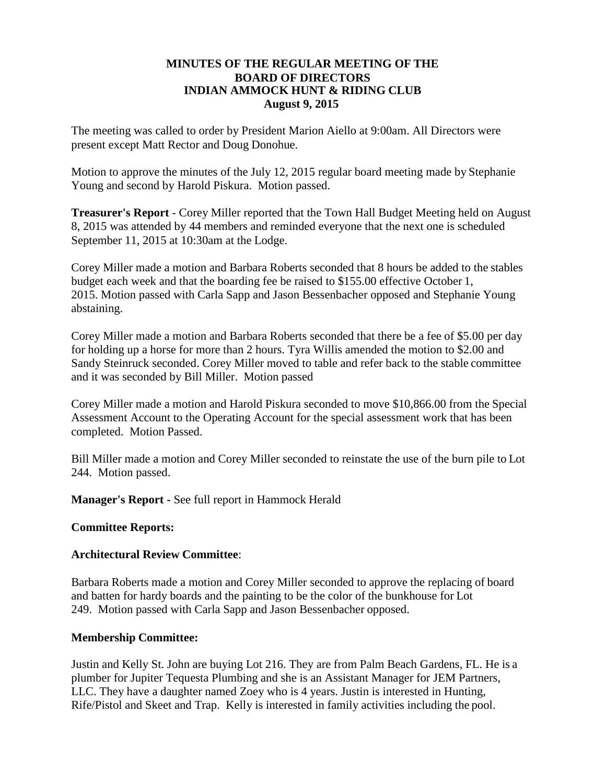### **MINUTES OF THE REGULAR MEETING OF THE BOARD OF DIRECTORS INDIAN AMMOCK HUNT & RIDING CLUB August 9, 2015**

The meeting was called to order by President Marion Aiello at 9:00am. All Directors were present except Matt Rector and Doug Donohue.

Motion to approve the minutes of the July 12, 2015 regular board meeting made by Stephanie Young and second by Harold Piskura. Motion passed.

**Treasurer's Report** - Corey Miller reported that the Town Hall Budget Meeting held on August 8, 2015 was attended by 44 members and reminded everyone that the next one is scheduled September 11, 2015 at 10:30am at the Lodge.

Corey Miller made a motion and Barbara Roberts seconded that 8 hours be added to the stables budget each week and that the boarding fee be raised to \$155.00 effective October 1, 2015. Motion passed with Carla Sapp and Jason Bessenbacher opposed and Stephanie Young abstaining.

Corey Miller made a motion and Barbara Roberts seconded that there be a fee of \$5.00 per day for holding up a horse for more than 2 hours. Tyra Willis amended the motion to \$2.00 and Sandy Steinruck seconded. Corey Miller moved to table and refer back to the stable committee and it was seconded by Bill Miller. Motion passed

Corey Miller made a motion and Harold Piskura seconded to move \$10,866.00 from the Special Assessment Account to the Operating Account for the special assessment work that has been completed. Motion Passed.

Bill Miller made a motion and Corey Miller seconded to reinstate the use of the burn pile to Lot 244. Motion passed.

**Manager's Report -** See full report in Hammock Herald

#### **Committee Reports:**

#### **Architectural Review Committee**:

Barbara Roberts made a motion and Corey Miller seconded to approve the replacing of board and batten for hardy boards and the painting to be the color of the bunkhouse for Lot 249. Motion passed with Carla Sapp and Jason Bessenbacher opposed.

#### **Membership Committee:**

Justin and Kelly St. John are buying Lot 216. They are from Palm Beach Gardens, FL. He is a plumber for Jupiter Tequesta Plumbing and she is an Assistant Manager for JEM Partners, LLC. They have a daughter named Zoey who is 4 years. Justin is interested in Hunting, Rife/Pistol and Skeet and Trap. Kelly is interested in family activities including the pool.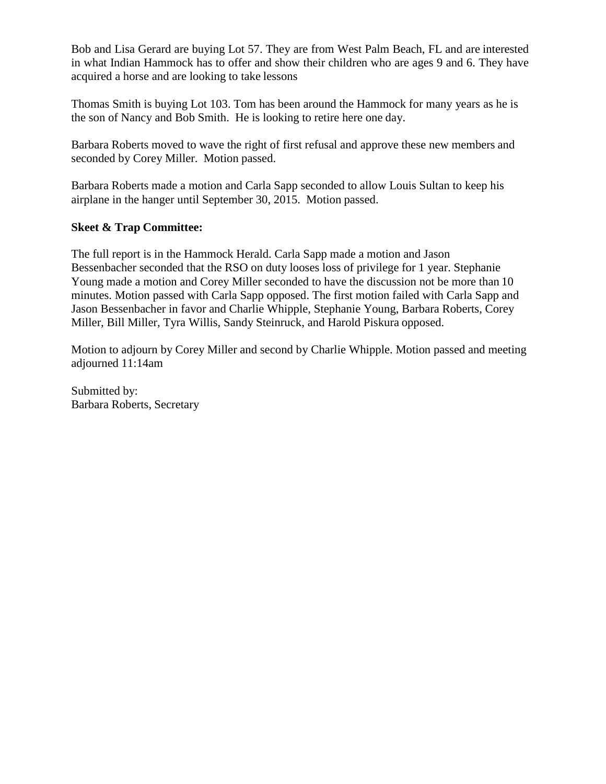Bob and Lisa Gerard are buying Lot 57. They are from West Palm Beach, FL and are interested in what Indian Hammock has to offer and show their children who are ages 9 and 6. They have acquired a horse and are looking to take lessons

Thomas Smith is buying Lot 103. Tom has been around the Hammock for many years as he is the son of Nancy and Bob Smith. He is looking to retire here one day.

Barbara Roberts moved to wave the right of first refusal and approve these new members and seconded by Corey Miller. Motion passed.

Barbara Roberts made a motion and Carla Sapp seconded to allow Louis Sultan to keep his airplane in the hanger until September 30, 2015. Motion passed.

# **Skeet & Trap Committee:**

The full report is in the Hammock Herald. Carla Sapp made a motion and Jason Bessenbacher seconded that the RSO on duty looses loss of privilege for 1 year. Stephanie Young made a motion and Corey Miller seconded to have the discussion not be more than 10 minutes. Motion passed with Carla Sapp opposed. The first motion failed with Carla Sapp and Jason Bessenbacher in favor and Charlie Whipple, Stephanie Young, Barbara Roberts, Corey Miller, Bill Miller, Tyra Willis, Sandy Steinruck, and Harold Piskura opposed.

Motion to adjourn by Corey Miller and second by Charlie Whipple. Motion passed and meeting adjourned 11:14am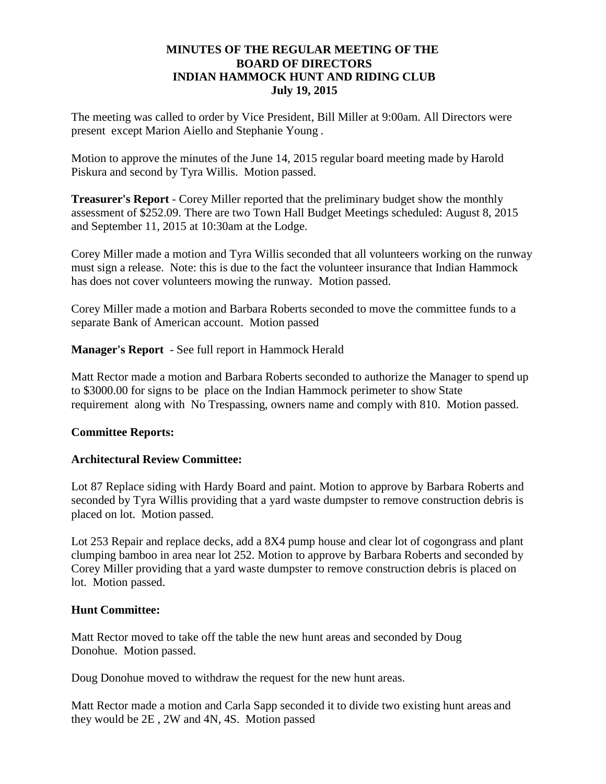## **MINUTES OF THE REGULAR MEETING OF THE BOARD OF DIRECTORS INDIAN HAMMOCK HUNT AND RIDING CLUB July 19, 2015**

The meeting was called to order by Vice President, Bill Miller at 9:00am. All Directors were present except Marion Aiello and Stephanie Young .

Motion to approve the minutes of the June 14, 2015 regular board meeting made by Harold Piskura and second by Tyra Willis. Motion passed.

**Treasurer's Report** - Corey Miller reported that the preliminary budget show the monthly assessment of \$252.09. There are two Town Hall Budget Meetings scheduled: August 8, 2015 and September 11, 2015 at 10:30am at the Lodge.

Corey Miller made a motion and Tyra Willis seconded that all volunteers working on the runway must sign a release. Note: this is due to the fact the volunteer insurance that Indian Hammock has does not cover volunteers mowing the runway. Motion passed.

Corey Miller made a motion and Barbara Roberts seconded to move the committee funds to a separate Bank of American account. Motion passed

**Manager's Report** - See full report in Hammock Herald

Matt Rector made a motion and Barbara Roberts seconded to authorize the Manager to spend up to \$3000.00 for signs to be place on the Indian Hammock perimeter to show State requirement along with No Trespassing, owners name and comply with 810. Motion passed.

# **Committee Reports:**

# **Architectural Review Committee:**

Lot 87 Replace siding with Hardy Board and paint. Motion to approve by Barbara Roberts and seconded by Tyra Willis providing that a yard waste dumpster to remove construction debris is placed on lot. Motion passed.

Lot 253 Repair and replace decks, add a 8X4 pump house and clear lot of cogongrass and plant clumping bamboo in area near lot 252. Motion to approve by Barbara Roberts and seconded by Corey Miller providing that a yard waste dumpster to remove construction debris is placed on lot. Motion passed.

### **Hunt Committee:**

Matt Rector moved to take off the table the new hunt areas and seconded by Doug Donohue. Motion passed.

Doug Donohue moved to withdraw the request for the new hunt areas.

Matt Rector made a motion and Carla Sapp seconded it to divide two existing hunt areas and they would be 2E , 2W and 4N, 4S. Motion passed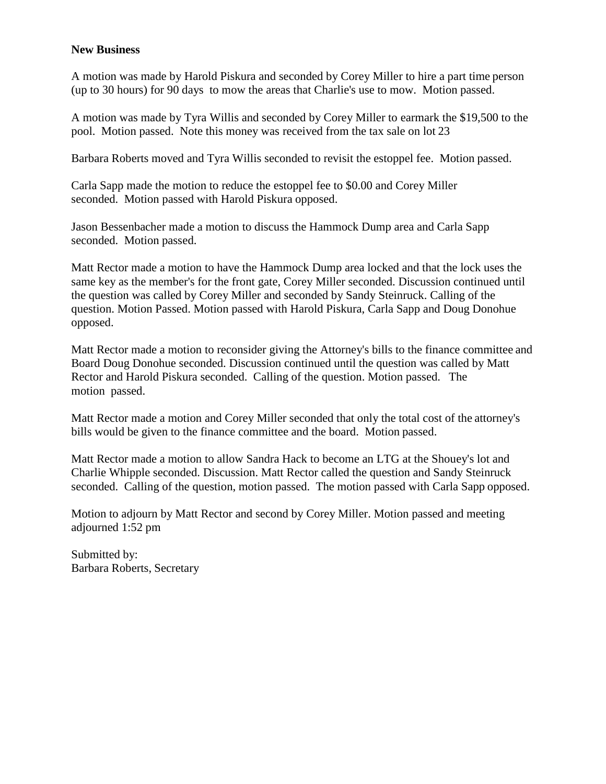## **New Business**

A motion was made by Harold Piskura and seconded by Corey Miller to hire a part time person (up to 30 hours) for 90 days to mow the areas that Charlie's use to mow. Motion passed.

A motion was made by Tyra Willis and seconded by Corey Miller to earmark the \$19,500 to the pool. Motion passed. Note this money was received from the tax sale on lot 23

Barbara Roberts moved and Tyra Willis seconded to revisit the estoppel fee. Motion passed.

Carla Sapp made the motion to reduce the estoppel fee to \$0.00 and Corey Miller seconded. Motion passed with Harold Piskura opposed.

Jason Bessenbacher made a motion to discuss the Hammock Dump area and Carla Sapp seconded. Motion passed.

Matt Rector made a motion to have the Hammock Dump area locked and that the lock uses the same key as the member's for the front gate, Corey Miller seconded. Discussion continued until the question was called by Corey Miller and seconded by Sandy Steinruck. Calling of the question. Motion Passed. Motion passed with Harold Piskura, Carla Sapp and Doug Donohue opposed.

Matt Rector made a motion to reconsider giving the Attorney's bills to the finance committee and Board Doug Donohue seconded. Discussion continued until the question was called by Matt Rector and Harold Piskura seconded. Calling of the question. Motion passed. The motion passed.

Matt Rector made a motion and Corey Miller seconded that only the total cost of the attorney's bills would be given to the finance committee and the board. Motion passed.

Matt Rector made a motion to allow Sandra Hack to become an LTG at the Shouey's lot and Charlie Whipple seconded. Discussion. Matt Rector called the question and Sandy Steinruck seconded. Calling of the question, motion passed. The motion passed with Carla Sapp opposed.

Motion to adjourn by Matt Rector and second by Corey Miller. Motion passed and meeting adjourned 1:52 pm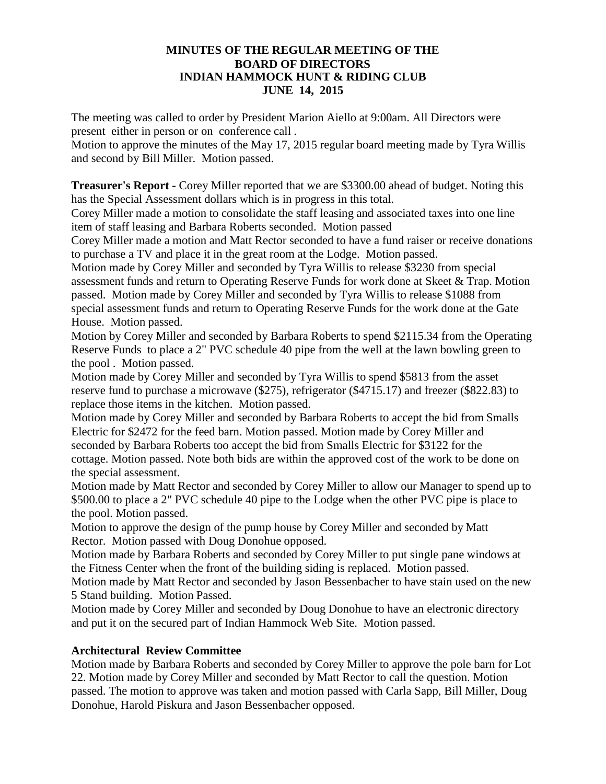#### **MINUTES OF THE REGULAR MEETING OF THE BOARD OF DIRECTORS INDIAN HAMMOCK HUNT & RIDING CLUB JUNE 14, 2015**

The meeting was called to order by President Marion Aiello at 9:00am. All Directors were present either in person or on conference call .

Motion to approve the minutes of the May 17, 2015 regular board meeting made by Tyra Willis and second by Bill Miller. Motion passed.

**Treasurer's Report -** Corey Miller reported that we are \$3300.00 ahead of budget. Noting this has the Special Assessment dollars which is in progress in this total.

Corey Miller made a motion to consolidate the staff leasing and associated taxes into one line item of staff leasing and Barbara Roberts seconded. Motion passed

Corey Miller made a motion and Matt Rector seconded to have a fund raiser or receive donations to purchase a TV and place it in the great room at the Lodge. Motion passed.

Motion made by Corey Miller and seconded by Tyra Willis to release \$3230 from special assessment funds and return to Operating Reserve Funds for work done at Skeet & Trap. Motion passed. Motion made by Corey Miller and seconded by Tyra Willis to release \$1088 from special assessment funds and return to Operating Reserve Funds for the work done at the Gate House. Motion passed.

Motion by Corey Miller and seconded by Barbara Roberts to spend \$2115.34 from the Operating Reserve Funds to place a 2" PVC schedule 40 pipe from the well at the lawn bowling green to the pool . Motion passed.

Motion made by Corey Miller and seconded by Tyra Willis to spend \$5813 from the asset reserve fund to purchase a microwave (\$275), refrigerator (\$4715.17) and freezer (\$822.83) to replace those items in the kitchen. Motion passed.

Motion made by Corey Miller and seconded by Barbara Roberts to accept the bid from Smalls Electric for \$2472 for the feed barn. Motion passed. Motion made by Corey Miller and seconded by Barbara Roberts too accept the bid from Smalls Electric for \$3122 for the cottage. Motion passed. Note both bids are within the approved cost of the work to be done on the special assessment.

Motion made by Matt Rector and seconded by Corey Miller to allow our Manager to spend up to \$500.00 to place a 2" PVC schedule 40 pipe to the Lodge when the other PVC pipe is place to the pool. Motion passed.

Motion to approve the design of the pump house by Corey Miller and seconded by Matt Rector. Motion passed with Doug Donohue opposed.

Motion made by Barbara Roberts and seconded by Corey Miller to put single pane windows at the Fitness Center when the front of the building siding is replaced. Motion passed.

Motion made by Matt Rector and seconded by Jason Bessenbacher to have stain used on the new 5 Stand building. Motion Passed.

Motion made by Corey Miller and seconded by Doug Donohue to have an electronic directory and put it on the secured part of Indian Hammock Web Site. Motion passed.

# **Architectural Review Committee**

Motion made by Barbara Roberts and seconded by Corey Miller to approve the pole barn for Lot 22. Motion made by Corey Miller and seconded by Matt Rector to call the question. Motion passed. The motion to approve was taken and motion passed with Carla Sapp, Bill Miller, Doug Donohue, Harold Piskura and Jason Bessenbacher opposed.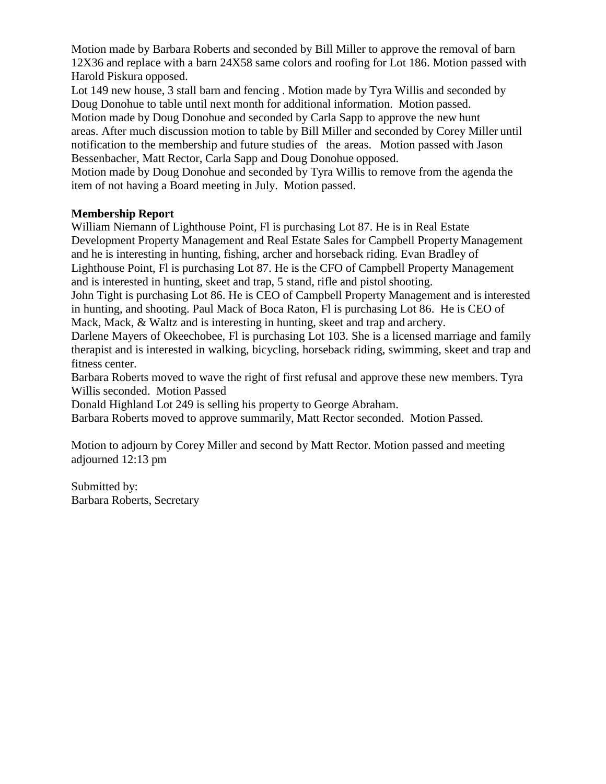Motion made by Barbara Roberts and seconded by Bill Miller to approve the removal of barn 12X36 and replace with a barn 24X58 same colors and roofing for Lot 186. Motion passed with Harold Piskura opposed.

Lot 149 new house, 3 stall barn and fencing . Motion made by Tyra Willis and seconded by Doug Donohue to table until next month for additional information. Motion passed.

Motion made by Doug Donohue and seconded by Carla Sapp to approve the new hunt areas. After much discussion motion to table by Bill Miller and seconded by Corey Miller until notification to the membership and future studies of the areas. Motion passed with Jason Bessenbacher, Matt Rector, Carla Sapp and Doug Donohue opposed.

Motion made by Doug Donohue and seconded by Tyra Willis to remove from the agenda the item of not having a Board meeting in July. Motion passed.

## **Membership Report**

William Niemann of Lighthouse Point, Fl is purchasing Lot 87. He is in Real Estate Development Property Management and Real Estate Sales for Campbell Property Management and he is interesting in hunting, fishing, archer and horseback riding. Evan Bradley of Lighthouse Point, Fl is purchasing Lot 87. He is the CFO of Campbell Property Management and is interested in hunting, skeet and trap, 5 stand, rifle and pistol shooting.

John Tight is purchasing Lot 86. He is CEO of Campbell Property Management and is interested in hunting, and shooting. Paul Mack of Boca Raton, Fl is purchasing Lot 86. He is CEO of Mack, Mack, & Waltz and is interesting in hunting, skeet and trap and archery.

Darlene Mayers of Okeechobee, Fl is purchasing Lot 103. She is a licensed marriage and family therapist and is interested in walking, bicycling, horseback riding, swimming, skeet and trap and fitness center.

Barbara Roberts moved to wave the right of first refusal and approve these new members. Tyra Willis seconded. Motion Passed

Donald Highland Lot 249 is selling his property to George Abraham.

Barbara Roberts moved to approve summarily, Matt Rector seconded. Motion Passed.

Motion to adjourn by Corey Miller and second by Matt Rector. Motion passed and meeting adjourned 12:13 pm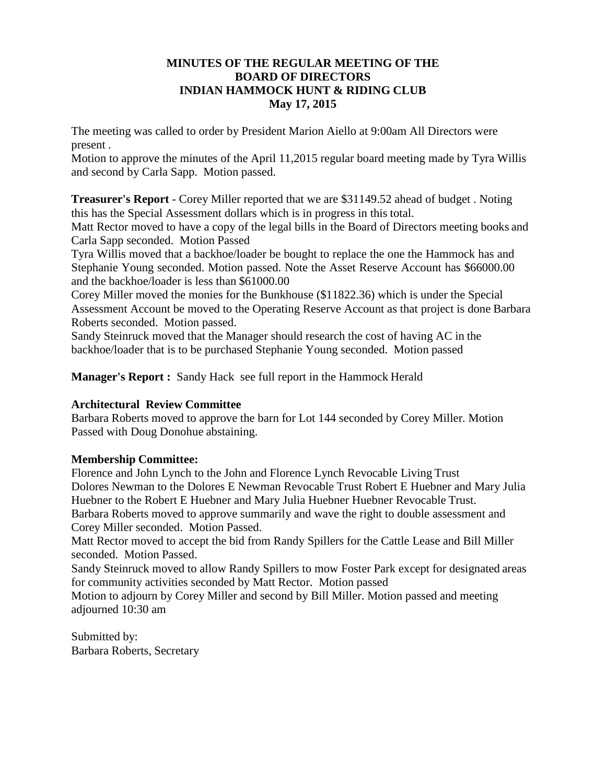## **MINUTES OF THE REGULAR MEETING OF THE BOARD OF DIRECTORS INDIAN HAMMOCK HUNT & RIDING CLUB May 17, 2015**

The meeting was called to order by President Marion Aiello at 9:00am All Directors were present .

Motion to approve the minutes of the April 11,2015 regular board meeting made by Tyra Willis and second by Carla Sapp. Motion passed.

**Treasurer's Report** - Corey Miller reported that we are \$31149.52 ahead of budget . Noting this has the Special Assessment dollars which is in progress in this total.

Matt Rector moved to have a copy of the legal bills in the Board of Directors meeting books and Carla Sapp seconded. Motion Passed

Tyra Willis moved that a backhoe/loader be bought to replace the one the Hammock has and Stephanie Young seconded. Motion passed. Note the Asset Reserve Account has \$66000.00 and the backhoe/loader is less than \$61000.00

Corey Miller moved the monies for the Bunkhouse (\$11822.36) which is under the Special Assessment Account be moved to the Operating Reserve Account as that project is done Barbara Roberts seconded. Motion passed.

Sandy Steinruck moved that the Manager should research the cost of having AC in the backhoe/loader that is to be purchased Stephanie Young seconded. Motion passed

**Manager's Report :** Sandy Hack see full report in the Hammock Herald

# **Architectural Review Committee**

Barbara Roberts moved to approve the barn for Lot 144 seconded by Corey Miller. Motion Passed with Doug Donohue abstaining.

# **Membership Committee:**

Florence and John Lynch to the John and Florence Lynch Revocable Living Trust Dolores Newman to the Dolores E Newman Revocable Trust Robert E Huebner and Mary Julia Huebner to the Robert E Huebner and Mary Julia Huebner Huebner Revocable Trust. Barbara Roberts moved to approve summarily and wave the right to double assessment and Corey Miller seconded. Motion Passed.

Matt Rector moved to accept the bid from Randy Spillers for the Cattle Lease and Bill Miller seconded. Motion Passed.

Sandy Steinruck moved to allow Randy Spillers to mow Foster Park except for designated areas for community activities seconded by Matt Rector. Motion passed

Motion to adjourn by Corey Miller and second by Bill Miller. Motion passed and meeting adjourned 10:30 am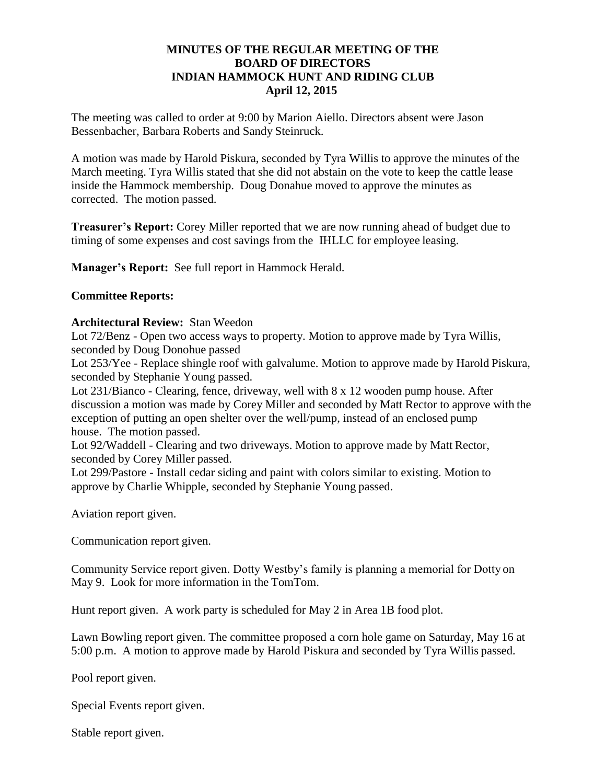## **MINUTES OF THE REGULAR MEETING OF THE BOARD OF DIRECTORS INDIAN HAMMOCK HUNT AND RIDING CLUB April 12, 2015**

The meeting was called to order at 9:00 by Marion Aiello. Directors absent were Jason Bessenbacher, Barbara Roberts and Sandy Steinruck.

A motion was made by Harold Piskura, seconded by Tyra Willis to approve the minutes of the March meeting. Tyra Willis stated that she did not abstain on the vote to keep the cattle lease inside the Hammock membership. Doug Donahue moved to approve the minutes as corrected. The motion passed.

**Treasurer's Report:** Corey Miller reported that we are now running ahead of budget due to timing of some expenses and cost savings from the IHLLC for employee leasing.

**Manager's Report:** See full report in Hammock Herald.

## **Committee Reports:**

#### **Architectural Review:** Stan Weedon

Lot 72/Benz - Open two access ways to property. Motion to approve made by Tyra Willis, seconded by Doug Donohue passed

Lot 253/Yee - Replace shingle roof with galvalume. Motion to approve made by Harold Piskura, seconded by Stephanie Young passed.

Lot 231/Bianco - Clearing, fence, driveway, well with 8 x 12 wooden pump house. After discussion a motion was made by Corey Miller and seconded by Matt Rector to approve with the exception of putting an open shelter over the well/pump, instead of an enclosed pump house. The motion passed.

Lot 92/Waddell - Clearing and two driveways. Motion to approve made by Matt Rector, seconded by Corey Miller passed.

Lot 299/Pastore - Install cedar siding and paint with colors similar to existing. Motion to approve by Charlie Whipple, seconded by Stephanie Young passed.

Aviation report given.

Communication report given.

Community Service report given. Dotty Westby's family is planning a memorial for Dotty on May 9. Look for more information in the TomTom.

Hunt report given. A work party is scheduled for May 2 in Area 1B food plot.

Lawn Bowling report given. The committee proposed a corn hole game on Saturday, May 16 at 5:00 p.m. A motion to approve made by Harold Piskura and seconded by Tyra Willis passed.

Pool report given.

Special Events report given.

Stable report given.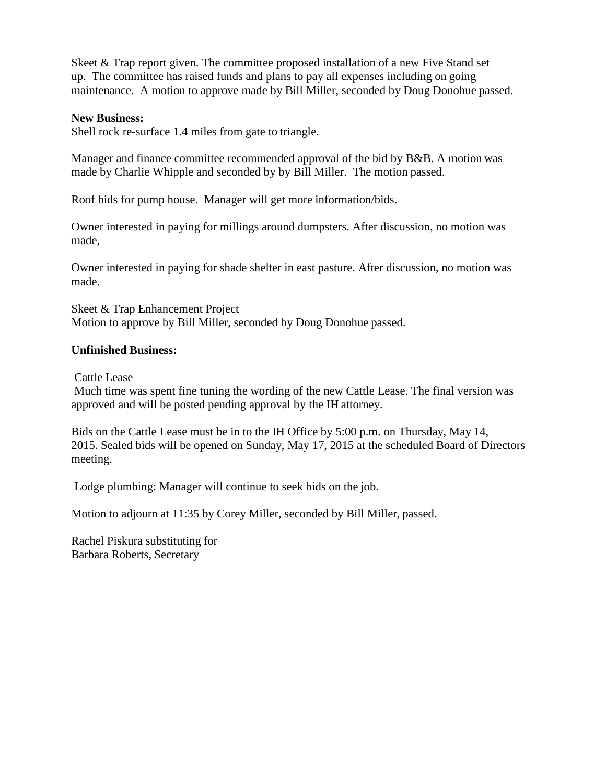Skeet & Trap report given. The committee proposed installation of a new Five Stand set up. The committee has raised funds and plans to pay all expenses including on going maintenance. A motion to approve made by Bill Miller, seconded by Doug Donohue passed.

#### **New Business:**

Shell rock re-surface 1.4 miles from gate to triangle.

Manager and finance committee recommended approval of the bid by B&B. A motion was made by Charlie Whipple and seconded by by Bill Miller. The motion passed.

Roof bids for pump house. Manager will get more information/bids.

Owner interested in paying for millings around dumpsters. After discussion, no motion was made,

Owner interested in paying for shade shelter in east pasture. After discussion, no motion was made.

Skeet & Trap Enhancement Project Motion to approve by Bill Miller, seconded by Doug Donohue passed.

#### **Unfinished Business:**

Cattle Lease

Much time was spent fine tuning the wording of the new Cattle Lease. The final version was approved and will be posted pending approval by the IH attorney.

Bids on the Cattle Lease must be in to the IH Office by 5:00 p.m. on Thursday, May 14, 2015. Sealed bids will be opened on Sunday, May 17, 2015 at the scheduled Board of Directors meeting.

Lodge plumbing: Manager will continue to seek bids on the job.

Motion to adjourn at 11:35 by Corey Miller, seconded by Bill Miller, passed.

Rachel Piskura substituting for Barbara Roberts, Secretary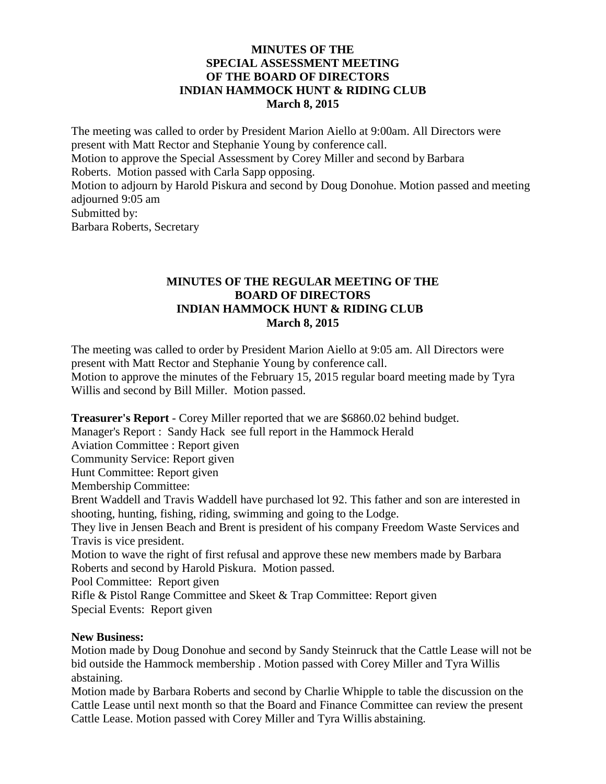## **MINUTES OF THE SPECIAL ASSESSMENT MEETING OF THE BOARD OF DIRECTORS INDIAN HAMMOCK HUNT & RIDING CLUB March 8, 2015**

The meeting was called to order by President Marion Aiello at 9:00am. All Directors were present with Matt Rector and Stephanie Young by conference call. Motion to approve the Special Assessment by Corey Miller and second by Barbara Roberts. Motion passed with Carla Sapp opposing. Motion to adjourn by Harold Piskura and second by Doug Donohue. Motion passed and meeting adjourned 9:05 am Submitted by: Barbara Roberts, Secretary

## **MINUTES OF THE REGULAR MEETING OF THE BOARD OF DIRECTORS INDIAN HAMMOCK HUNT & RIDING CLUB March 8, 2015**

The meeting was called to order by President Marion Aiello at 9:05 am. All Directors were present with Matt Rector and Stephanie Young by conference call. Motion to approve the minutes of the February 15, 2015 regular board meeting made by Tyra Willis and second by Bill Miller. Motion passed.

**Treasurer's Report** - Corey Miller reported that we are \$6860.02 behind budget.

Manager's Report : Sandy Hack see full report in the Hammock Herald

Aviation Committee : Report given

Community Service: Report given

Hunt Committee: Report given

Membership Committee:

Brent Waddell and Travis Waddell have purchased lot 92. This father and son are interested in shooting, hunting, fishing, riding, swimming and going to the Lodge.

They live in Jensen Beach and Brent is president of his company Freedom Waste Services and Travis is vice president.

Motion to wave the right of first refusal and approve these new members made by Barbara Roberts and second by Harold Piskura. Motion passed.

Pool Committee: Report given

Rifle & Pistol Range Committee and Skeet & Trap Committee: Report given Special Events: Report given

## **New Business:**

Motion made by Doug Donohue and second by Sandy Steinruck that the Cattle Lease will not be bid outside the Hammock membership . Motion passed with Corey Miller and Tyra Willis abstaining.

Motion made by Barbara Roberts and second by Charlie Whipple to table the discussion on the Cattle Lease until next month so that the Board and Finance Committee can review the present Cattle Lease. Motion passed with Corey Miller and Tyra Willis abstaining.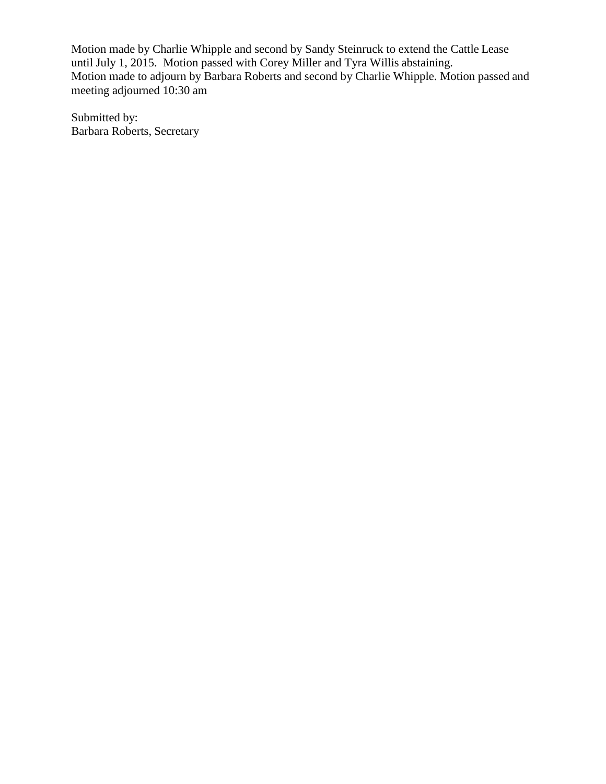Motion made by Charlie Whipple and second by Sandy Steinruck to extend the Cattle Lease until July 1, 2015. Motion passed with Corey Miller and Tyra Willis abstaining. Motion made to adjourn by Barbara Roberts and second by Charlie Whipple. Motion passed and meeting adjourned 10:30 am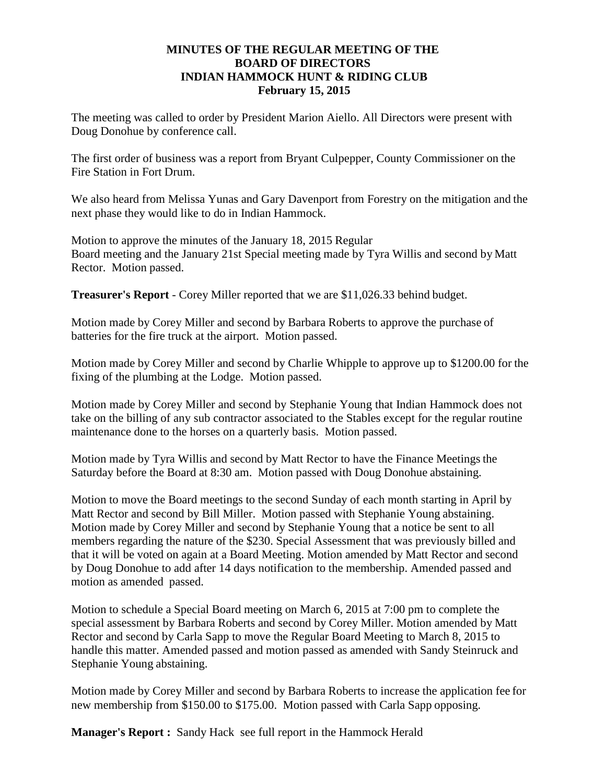## **MINUTES OF THE REGULAR MEETING OF THE BOARD OF DIRECTORS INDIAN HAMMOCK HUNT & RIDING CLUB February 15, 2015**

The meeting was called to order by President Marion Aiello. All Directors were present with Doug Donohue by conference call.

The first order of business was a report from Bryant Culpepper, County Commissioner on the Fire Station in Fort Drum.

We also heard from Melissa Yunas and Gary Davenport from Forestry on the mitigation and the next phase they would like to do in Indian Hammock.

Motion to approve the minutes of the January 18, 2015 Regular Board meeting and the January 21st Special meeting made by Tyra Willis and second by Matt Rector. Motion passed.

**Treasurer's Report** - Corey Miller reported that we are \$11,026.33 behind budget.

Motion made by Corey Miller and second by Barbara Roberts to approve the purchase of batteries for the fire truck at the airport. Motion passed.

Motion made by Corey Miller and second by Charlie Whipple to approve up to \$1200.00 for the fixing of the plumbing at the Lodge. Motion passed.

Motion made by Corey Miller and second by Stephanie Young that Indian Hammock does not take on the billing of any sub contractor associated to the Stables except for the regular routine maintenance done to the horses on a quarterly basis. Motion passed.

Motion made by Tyra Willis and second by Matt Rector to have the Finance Meetings the Saturday before the Board at 8:30 am. Motion passed with Doug Donohue abstaining.

Motion to move the Board meetings to the second Sunday of each month starting in April by Matt Rector and second by Bill Miller. Motion passed with Stephanie Young abstaining. Motion made by Corey Miller and second by Stephanie Young that a notice be sent to all members regarding the nature of the \$230. Special Assessment that was previously billed and that it will be voted on again at a Board Meeting. Motion amended by Matt Rector and second by Doug Donohue to add after 14 days notification to the membership. Amended passed and motion as amended passed.

Motion to schedule a Special Board meeting on March 6, 2015 at 7:00 pm to complete the special assessment by Barbara Roberts and second by Corey Miller. Motion amended by Matt Rector and second by Carla Sapp to move the Regular Board Meeting to March 8, 2015 to handle this matter. Amended passed and motion passed as amended with Sandy Steinruck and Stephanie Young abstaining.

Motion made by Corey Miller and second by Barbara Roberts to increase the application fee for new membership from \$150.00 to \$175.00. Motion passed with Carla Sapp opposing.

**Manager's Report :** Sandy Hack see full report in the Hammock Herald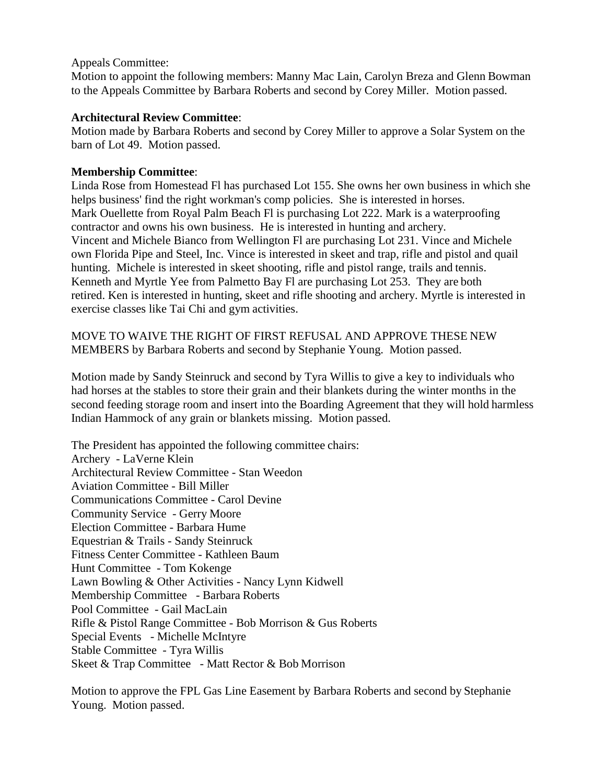## Appeals Committee:

Motion to appoint the following members: Manny Mac Lain, Carolyn Breza and Glenn Bowman to the Appeals Committee by Barbara Roberts and second by Corey Miller. Motion passed.

## **Architectural Review Committee**:

Motion made by Barbara Roberts and second by Corey Miller to approve a Solar System on the barn of Lot 49. Motion passed.

## **Membership Committee**:

Linda Rose from Homestead Fl has purchased Lot 155. She owns her own business in which she helps business' find the right workman's comp policies. She is interested in horses. Mark Ouellette from Royal Palm Beach Fl is purchasing Lot 222. Mark is a waterproofing contractor and owns his own business. He is interested in hunting and archery. Vincent and Michele Bianco from Wellington Fl are purchasing Lot 231. Vince and Michele own Florida Pipe and Steel, Inc. Vince is interested in skeet and trap, rifle and pistol and quail hunting. Michele is interested in skeet shooting, rifle and pistol range, trails and tennis. Kenneth and Myrtle Yee from Palmetto Bay Fl are purchasing Lot 253. They are both retired. Ken is interested in hunting, skeet and rifle shooting and archery. Myrtle is interested in exercise classes like Tai Chi and gym activities.

MOVE TO WAIVE THE RIGHT OF FIRST REFUSAL AND APPROVE THESE NEW MEMBERS by Barbara Roberts and second by Stephanie Young. Motion passed.

Motion made by Sandy Steinruck and second by Tyra Willis to give a key to individuals who had horses at the stables to store their grain and their blankets during the winter months in the second feeding storage room and insert into the Boarding Agreement that they will hold harmless Indian Hammock of any grain or blankets missing. Motion passed.

The President has appointed the following committee chairs: Archery - LaVerne Klein Architectural Review Committee - Stan Weedon Aviation Committee - Bill Miller Communications Committee - Carol Devine Community Service - Gerry Moore Election Committee - Barbara Hume Equestrian & Trails - Sandy Steinruck Fitness Center Committee - Kathleen Baum Hunt Committee - Tom Kokenge Lawn Bowling & Other Activities - Nancy Lynn Kidwell Membership Committee - Barbara Roberts Pool Committee - Gail MacLain Rifle & Pistol Range Committee - Bob Morrison & Gus Roberts Special Events - Michelle McIntyre Stable Committee - Tyra Willis Skeet & Trap Committee - Matt Rector & Bob Morrison

Motion to approve the FPL Gas Line Easement by Barbara Roberts and second by Stephanie Young. Motion passed.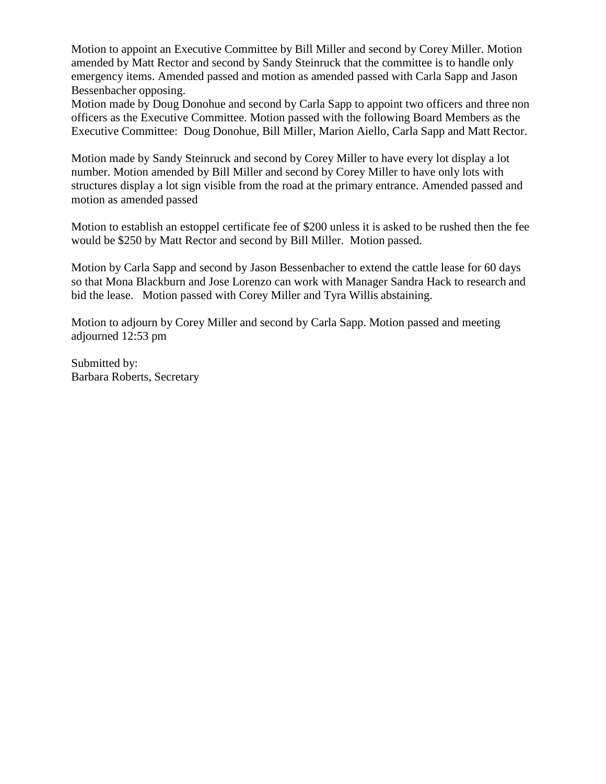Motion to appoint an Executive Committee by Bill Miller and second by Corey Miller. Motion amended by Matt Rector and second by Sandy Steinruck that the committee is to handle only emergency items. Amended passed and motion as amended passed with Carla Sapp and Jason Bessenbacher opposing.

Motion made by Doug Donohue and second by Carla Sapp to appoint two officers and three non officers as the Executive Committee. Motion passed with the following Board Members as the Executive Committee: Doug Donohue, Bill Miller, Marion Aiello, Carla Sapp and Matt Rector.

Motion made by Sandy Steinruck and second by Corey Miller to have every lot display a lot number. Motion amended by Bill Miller and second by Corey Miller to have only lots with structures display a lot sign visible from the road at the primary entrance. Amended passed and motion as amended passed

Motion to establish an estoppel certificate fee of \$200 unless it is asked to be rushed then the fee would be \$250 by Matt Rector and second by Bill Miller. Motion passed.

Motion by Carla Sapp and second by Jason Bessenbacher to extend the cattle lease for 60 days so that Mona Blackburn and Jose Lorenzo can work with Manager Sandra Hack to research and bid the lease. Motion passed with Corey Miller and Tyra Willis abstaining.

Motion to adjourn by Corey Miller and second by Carla Sapp. Motion passed and meeting adjourned 12:53 pm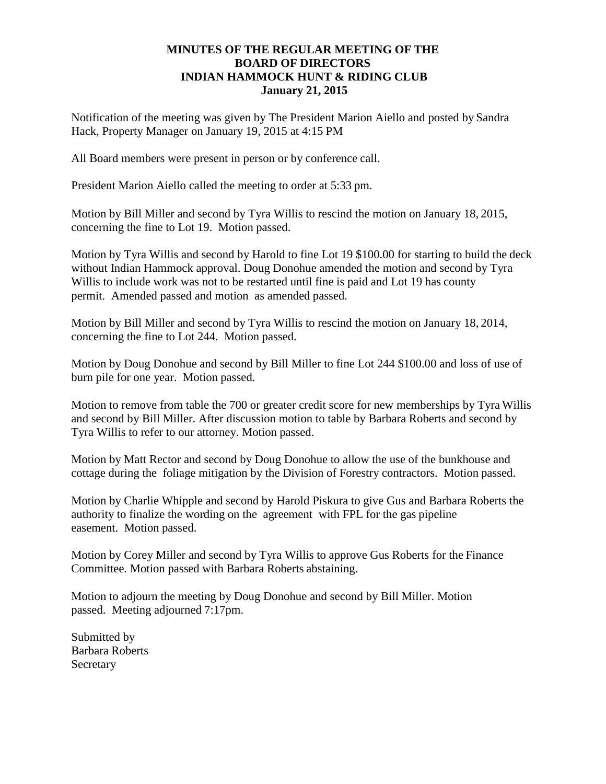## **MINUTES OF THE REGULAR MEETING OF THE BOARD OF DIRECTORS INDIAN HAMMOCK HUNT & RIDING CLUB January 21, 2015**

Notification of the meeting was given by The President Marion Aiello and posted by Sandra Hack, Property Manager on January 19, 2015 at 4:15 PM

All Board members were present in person or by conference call.

President Marion Aiello called the meeting to order at 5:33 pm.

Motion by Bill Miller and second by Tyra Willis to rescind the motion on January 18, 2015, concerning the fine to Lot 19. Motion passed.

Motion by Tyra Willis and second by Harold to fine Lot 19 \$100.00 for starting to build the deck without Indian Hammock approval. Doug Donohue amended the motion and second by Tyra Willis to include work was not to be restarted until fine is paid and Lot 19 has county permit. Amended passed and motion as amended passed.

Motion by Bill Miller and second by Tyra Willis to rescind the motion on January 18, 2014, concerning the fine to Lot 244. Motion passed.

Motion by Doug Donohue and second by Bill Miller to fine Lot 244 \$100.00 and loss of use of burn pile for one year. Motion passed.

Motion to remove from table the 700 or greater credit score for new memberships by Tyra Willis and second by Bill Miller. After discussion motion to table by Barbara Roberts and second by Tyra Willis to refer to our attorney. Motion passed.

Motion by Matt Rector and second by Doug Donohue to allow the use of the bunkhouse and cottage during the foliage mitigation by the Division of Forestry contractors. Motion passed.

Motion by Charlie Whipple and second by Harold Piskura to give Gus and Barbara Roberts the authority to finalize the wording on the agreement with FPL for the gas pipeline easement. Motion passed.

Motion by Corey Miller and second by Tyra Willis to approve Gus Roberts for the Finance Committee. Motion passed with Barbara Roberts abstaining.

Motion to adjourn the meeting by Doug Donohue and second by Bill Miller. Motion passed. Meeting adjourned 7:17pm.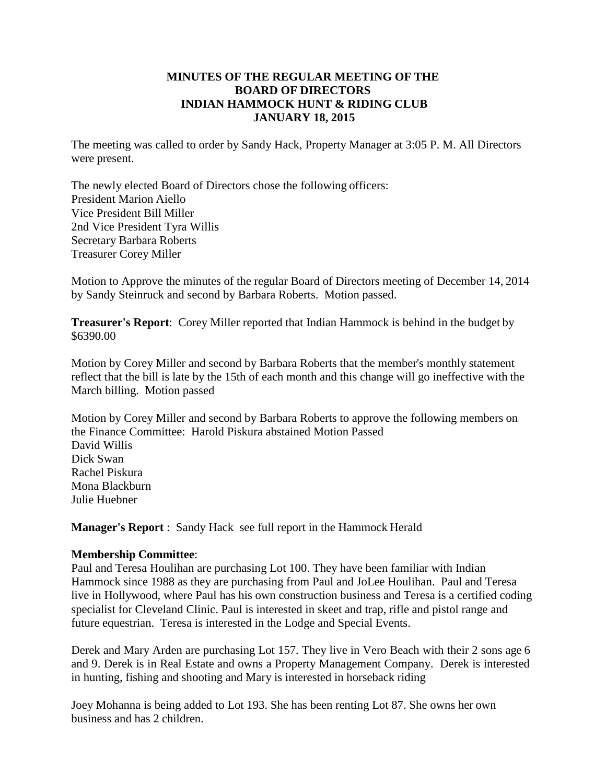## **MINUTES OF THE REGULAR MEETING OF THE BOARD OF DIRECTORS INDIAN HAMMOCK HUNT & RIDING CLUB JANUARY 18, 2015**

The meeting was called to order by Sandy Hack, Property Manager at 3:05 P. M. All Directors were present.

The newly elected Board of Directors chose the following officers: President Marion Aiello Vice President Bill Miller 2nd Vice President Tyra Willis Secretary Barbara Roberts Treasurer Corey Miller

Motion to Approve the minutes of the regular Board of Directors meeting of December 14, 2014 by Sandy Steinruck and second by Barbara Roberts. Motion passed.

**Treasurer's Report**: Corey Miller reported that Indian Hammock is behind in the budget by \$6390.00

Motion by Corey Miller and second by Barbara Roberts that the member's monthly statement reflect that the bill is late by the 15th of each month and this change will go ineffective with the March billing. Motion passed

Motion by Corey Miller and second by Barbara Roberts to approve the following members on the Finance Committee: Harold Piskura abstained Motion Passed David Willis Dick Swan Rachel Piskura Mona Blackburn Julie Huebner

**Manager's Report** : Sandy Hack see full report in the Hammock Herald

#### **Membership Committee**:

Paul and Teresa Houlihan are purchasing Lot 100. They have been familiar with Indian Hammock since 1988 as they are purchasing from Paul and JoLee Houlihan. Paul and Teresa live in Hollywood, where Paul has his own construction business and Teresa is a certified coding specialist for Cleveland Clinic. Paul is interested in skeet and trap, rifle and pistol range and future equestrian. Teresa is interested in the Lodge and Special Events.

Derek and Mary Arden are purchasing Lot 157. They live in Vero Beach with their 2 sons age 6 and 9. Derek is in Real Estate and owns a Property Management Company. Derek is interested in hunting, fishing and shooting and Mary is interested in horseback riding

Joey Mohanna is being added to Lot 193. She has been renting Lot 87. She owns her own business and has 2 children.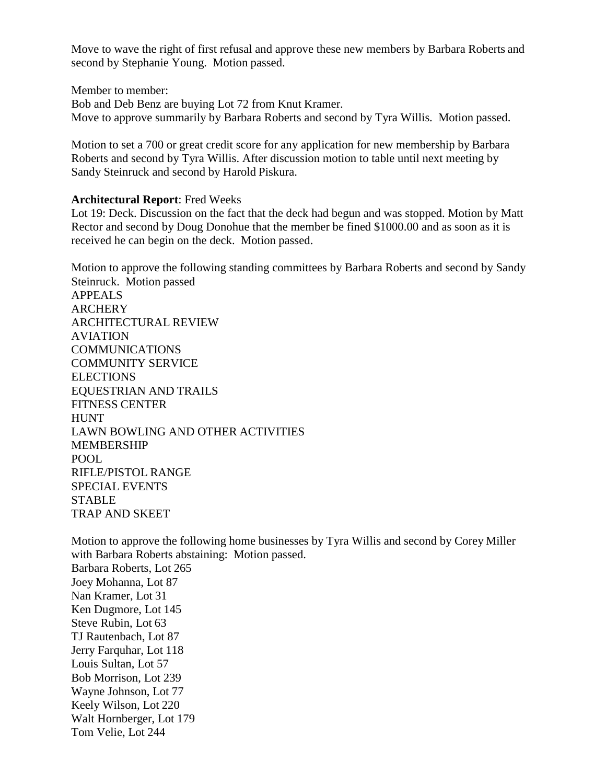Move to wave the right of first refusal and approve these new members by Barbara Roberts and second by Stephanie Young. Motion passed.

Member to member: Bob and Deb Benz are buying Lot 72 from Knut Kramer. Move to approve summarily by Barbara Roberts and second by Tyra Willis. Motion passed.

Motion to set a 700 or great credit score for any application for new membership by Barbara Roberts and second by Tyra Willis. After discussion motion to table until next meeting by Sandy Steinruck and second by Harold Piskura.

#### **Architectural Report**: Fred Weeks

Lot 19: Deck. Discussion on the fact that the deck had begun and was stopped. Motion by Matt Rector and second by Doug Donohue that the member be fined \$1000.00 and as soon as it is received he can begin on the deck. Motion passed.

Motion to approve the following standing committees by Barbara Roberts and second by Sandy Steinruck. Motion passed APPEALS **ARCHERY** ARCHITECTURAL REVIEW AVIATION COMMUNICATIONS COMMUNITY SERVICE **ELECTIONS** EQUESTRIAN AND TRAILS FITNESS CENTER **HUNT** LAWN BOWLING AND OTHER ACTIVITIES MEMBERSHIP POOL RIFLE/PISTOL RANGE SPECIAL EVENTS **STABLE** TRAP AND SKEET

Motion to approve the following home businesses by Tyra Willis and second by Corey Miller with Barbara Roberts abstaining: Motion passed. Barbara Roberts, Lot 265 Joey Mohanna, Lot 87 Nan Kramer, Lot 31 Ken Dugmore, Lot 145 Steve Rubin, Lot 63 TJ Rautenbach, Lot 87 Jerry Farquhar, Lot 118 Louis Sultan, Lot 57 Bob Morrison, Lot 239 Wayne Johnson, Lot 77 Keely Wilson, Lot 220 Walt Hornberger, Lot 179 Tom Velie, Lot 244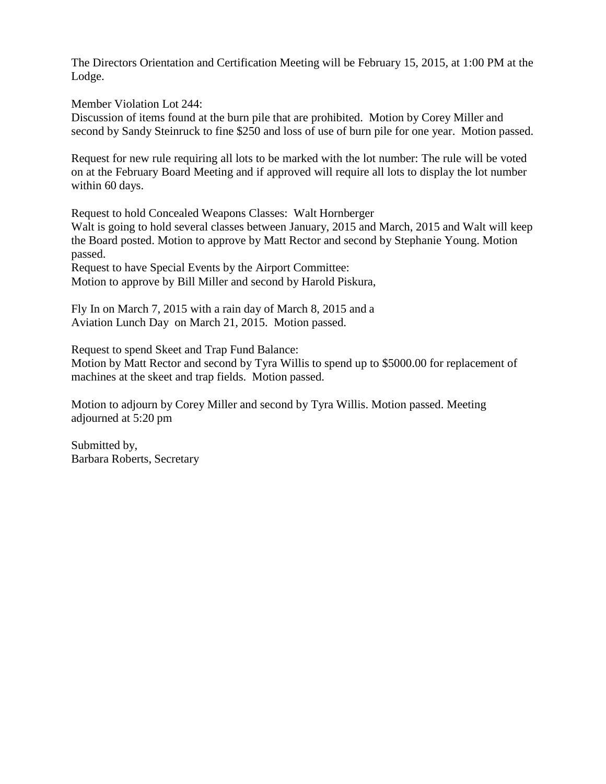The Directors Orientation and Certification Meeting will be February 15, 2015, at 1:00 PM at the Lodge.

Member Violation Lot 244:

Discussion of items found at the burn pile that are prohibited. Motion by Corey Miller and second by Sandy Steinruck to fine \$250 and loss of use of burn pile for one year. Motion passed.

Request for new rule requiring all lots to be marked with the lot number: The rule will be voted on at the February Board Meeting and if approved will require all lots to display the lot number within 60 days.

Request to hold Concealed Weapons Classes: Walt Hornberger

Walt is going to hold several classes between January, 2015 and March, 2015 and Walt will keep the Board posted. Motion to approve by Matt Rector and second by Stephanie Young. Motion passed.

Request to have Special Events by the Airport Committee: Motion to approve by Bill Miller and second by Harold Piskura,

Fly In on March 7, 2015 with a rain day of March 8, 2015 and a Aviation Lunch Day on March 21, 2015. Motion passed.

Request to spend Skeet and Trap Fund Balance: Motion by Matt Rector and second by Tyra Willis to spend up to \$5000.00 for replacement of machines at the skeet and trap fields. Motion passed.

Motion to adjourn by Corey Miller and second by Tyra Willis. Motion passed. Meeting adjourned at 5:20 pm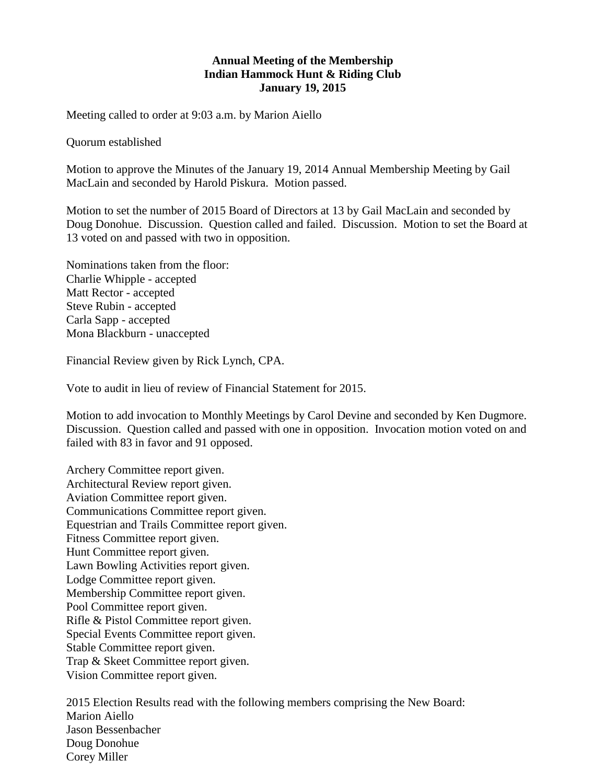## **Annual Meeting of the Membership Indian Hammock Hunt & Riding Club January 19, 2015**

Meeting called to order at 9:03 a.m. by Marion Aiello

Quorum established

Motion to approve the Minutes of the January 19, 2014 Annual Membership Meeting by Gail MacLain and seconded by Harold Piskura. Motion passed.

Motion to set the number of 2015 Board of Directors at 13 by Gail MacLain and seconded by Doug Donohue. Discussion. Question called and failed. Discussion. Motion to set the Board at 13 voted on and passed with two in opposition.

Nominations taken from the floor: Charlie Whipple - accepted Matt Rector - accepted Steve Rubin - accepted Carla Sapp - accepted Mona Blackburn - unaccepted

Financial Review given by Rick Lynch, CPA.

Vote to audit in lieu of review of Financial Statement for 2015.

Motion to add invocation to Monthly Meetings by Carol Devine and seconded by Ken Dugmore. Discussion. Question called and passed with one in opposition. Invocation motion voted on and failed with 83 in favor and 91 opposed.

Archery Committee report given. Architectural Review report given. Aviation Committee report given. Communications Committee report given. Equestrian and Trails Committee report given. Fitness Committee report given. Hunt Committee report given. Lawn Bowling Activities report given. Lodge Committee report given. Membership Committee report given. Pool Committee report given. Rifle & Pistol Committee report given. Special Events Committee report given. Stable Committee report given. Trap & Skeet Committee report given. Vision Committee report given.

2015 Election Results read with the following members comprising the New Board: Marion Aiello Jason Bessenbacher Doug Donohue Corey Miller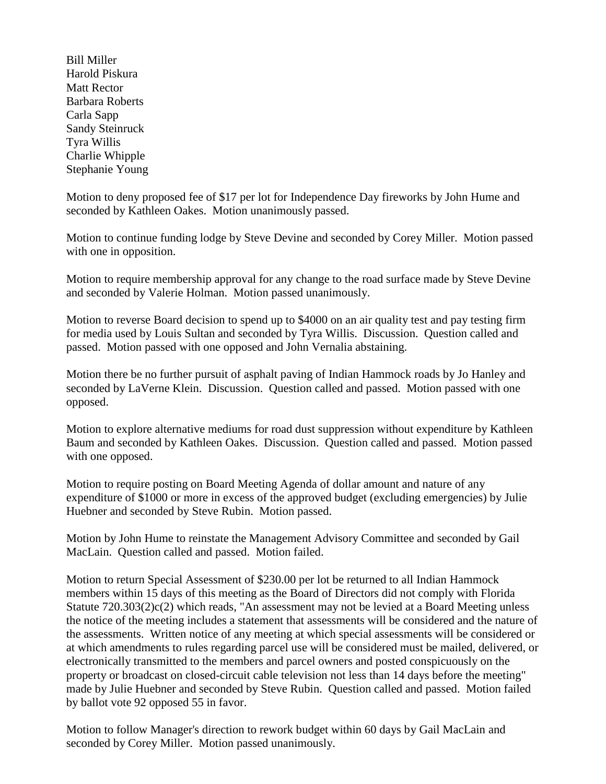Bill Miller Harold Piskura Matt Rector Barbara Roberts Carla Sapp Sandy Steinruck Tyra Willis Charlie Whipple Stephanie Young

Motion to deny proposed fee of \$17 per lot for Independence Day fireworks by John Hume and seconded by Kathleen Oakes. Motion unanimously passed.

Motion to continue funding lodge by Steve Devine and seconded by Corey Miller. Motion passed with one in opposition.

Motion to require membership approval for any change to the road surface made by Steve Devine and seconded by Valerie Holman. Motion passed unanimously.

Motion to reverse Board decision to spend up to \$4000 on an air quality test and pay testing firm for media used by Louis Sultan and seconded by Tyra Willis. Discussion. Question called and passed. Motion passed with one opposed and John Vernalia abstaining.

Motion there be no further pursuit of asphalt paving of Indian Hammock roads by Jo Hanley and seconded by LaVerne Klein. Discussion. Question called and passed. Motion passed with one opposed.

Motion to explore alternative mediums for road dust suppression without expenditure by Kathleen Baum and seconded by Kathleen Oakes. Discussion. Question called and passed. Motion passed with one opposed.

Motion to require posting on Board Meeting Agenda of dollar amount and nature of any expenditure of \$1000 or more in excess of the approved budget (excluding emergencies) by Julie Huebner and seconded by Steve Rubin. Motion passed.

Motion by John Hume to reinstate the Management Advisory Committee and seconded by Gail MacLain. Question called and passed. Motion failed.

Motion to return Special Assessment of \$230.00 per lot be returned to all Indian Hammock members within 15 days of this meeting as the Board of Directors did not comply with Florida Statute 720.303(2)c(2) which reads, "An assessment may not be levied at a Board Meeting unless the notice of the meeting includes a statement that assessments will be considered and the nature of the assessments. Written notice of any meeting at which special assessments will be considered or at which amendments to rules regarding parcel use will be considered must be mailed, delivered, or electronically transmitted to the members and parcel owners and posted conspicuously on the property or broadcast on closed-circuit cable television not less than 14 days before the meeting" made by Julie Huebner and seconded by Steve Rubin. Question called and passed. Motion failed by ballot vote 92 opposed 55 in favor.

Motion to follow Manager's direction to rework budget within 60 days by Gail MacLain and seconded by Corey Miller. Motion passed unanimously.